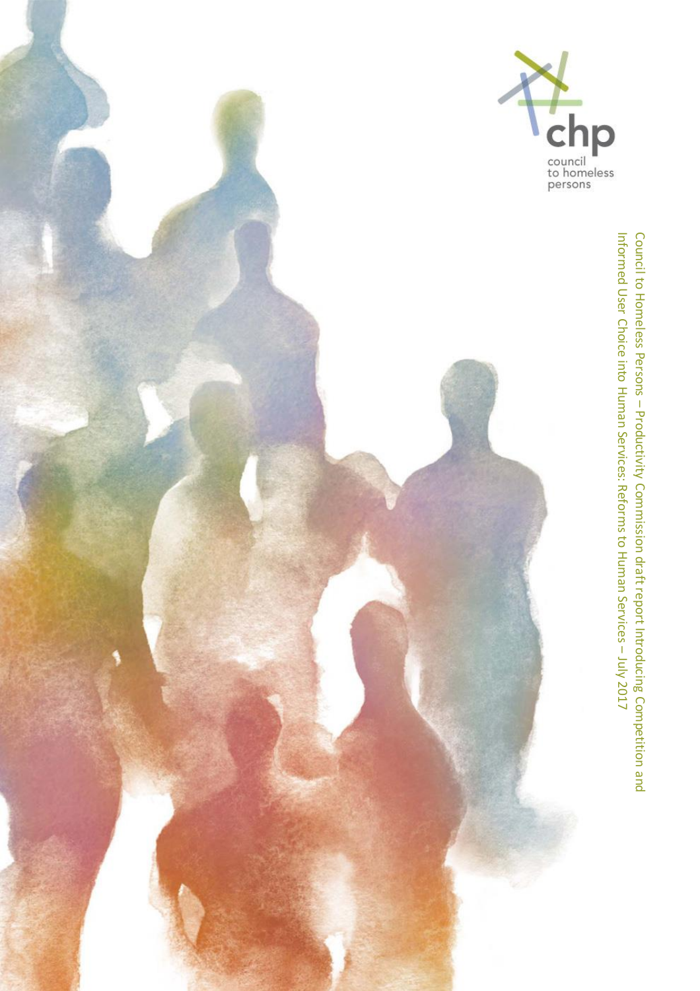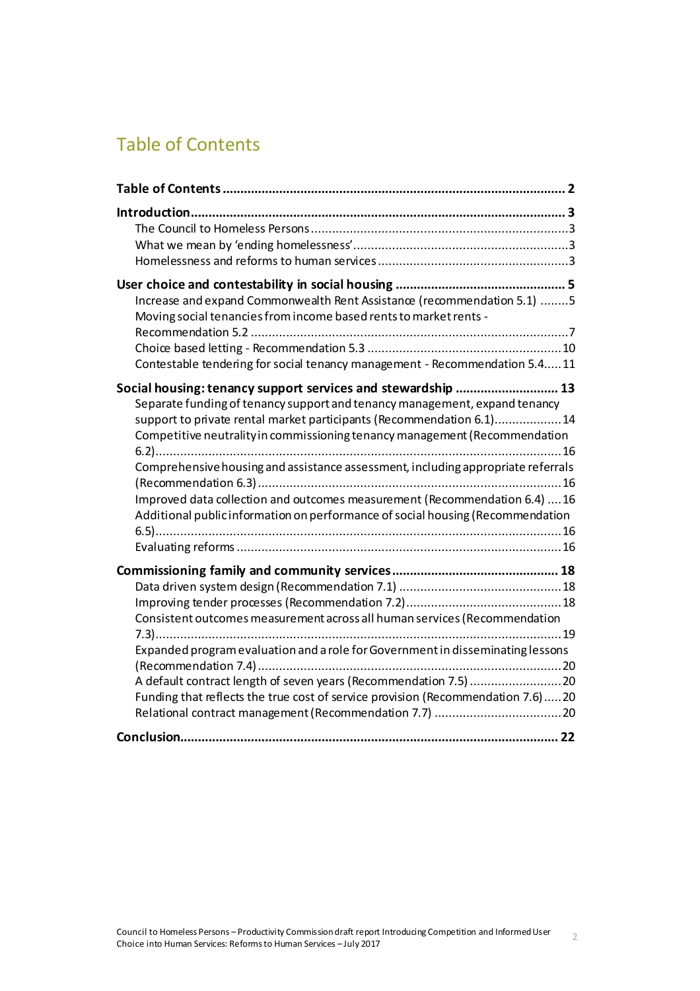# <span id="page-1-0"></span>Table of Contents

| Increase and expand Commonwealth Rent Assistance (recommendation 5.1) 5<br>Moving social tenancies from income based rents to market rents -<br>Contestable tendering for social tenancy management - Recommendation 5.411                                                                                                                                                                                                                                                                                                                           |
|------------------------------------------------------------------------------------------------------------------------------------------------------------------------------------------------------------------------------------------------------------------------------------------------------------------------------------------------------------------------------------------------------------------------------------------------------------------------------------------------------------------------------------------------------|
| Social housing: tenancy support services and stewardship  13<br>Separate funding of tenancy support and tenancy management, expand tenancy<br>support to private rental market participants (Recommendation 6.1)14<br>Competitive neutrality in commissioning tenancy management (Recommendation<br>Comprehensive housing and assistance assessment, including appropriate referrals<br>Improved data collection and outcomes measurement (Recommendation 6.4)  16<br>Additional public information on performance of social housing (Recommendation |
| Consistent outcomes measurement across all human services (Recommendation<br>Expanded program evaluation and a role for Government in disseminating lessons<br>A default contract length of seven years (Recommendation 7.5) 20<br>Funding that reflects the true cost of service provision (Recommendation 7.6)20                                                                                                                                                                                                                                   |
|                                                                                                                                                                                                                                                                                                                                                                                                                                                                                                                                                      |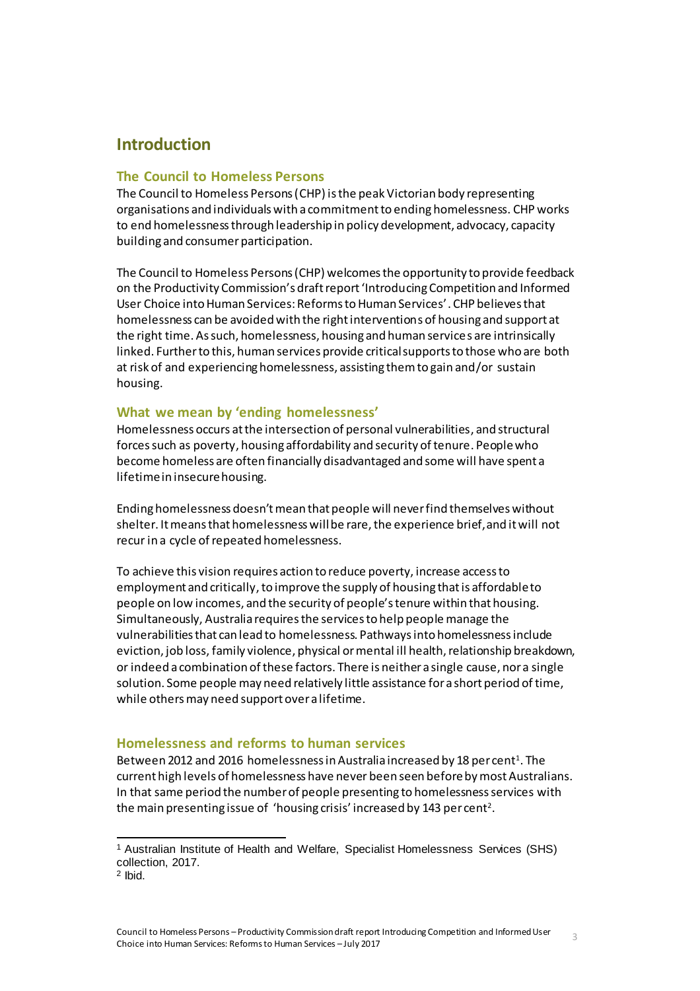# <span id="page-2-0"></span>**Introduction**

#### <span id="page-2-1"></span>**The Council to Homeless Persons**

The Council to Homeless Persons (CHP) is the peak Victorian body representing organisations and individuals with a commitment to ending homelessness. CHP works to end homelessness through leadership in policy development, advocacy, capacity building and consumer participation.

The Council to Homeless Persons (CHP) welcomes the opportunity to provide feedback on the Productivity Commission's draft report 'Introducing Competition and Informed User Choice into Human Services: Reforms to Human Services'. CHP believes that homelessness can be avoided with the right interventions of housing and support at the right time. As such, homelessness, housing and human services are intrinsically linked. Further to this, human services provide critical supports to those who are both at risk of and experiencing homelessness, assisting them to gain and/or sustain housing.

#### <span id="page-2-2"></span>**What we mean by 'ending homelessness'**

Homelessness occurs at the intersection of personal vulnerabilities, and structural forces such as poverty, housing affordability and security of tenure. People who become homeless are often financially disadvantaged and some will have spent a lifetime in insecure housing.

Ending homelessness doesn't mean that people will never find themselves without shelter. It means that homelessness will be rare, the experience brief, and it will not recur in a cycle of repeated homelessness.

To achieve this vision requires action to reduce poverty, increase access to employment and critically, to improve the supply of housing that is affordable to people on low incomes, and the security of people's tenure within that housing. Simultaneously, Australia requires the services to help people manage the vulnerabilities that can lead to homelessness. Pathways into homelessness include eviction, job loss, family violence, physical or mental ill health, relationship breakdown, or indeed a combination of these factors. There is neither a single cause, nor a single solution. Some people may need relatively little assistance for a short period of time, while others may need support over a lifetime.

#### <span id="page-2-3"></span>**Homelessness and reforms to human services**

Between 2012 and 2016 homelessness in Australia increased by 18 per cent<sup>1</sup>. The current high levels of homelessness have never been seen beforeby most Australians. In that same period the number of people presenting to homelessness services with the main presenting issue of 'housing crisis' increased by 143 per cent<sup>2</sup>.

<sup>1</sup> Australian Institute of Health and Welfare, Specialist Homelessness Services (SHS) collection, 2017.

<sup>2</sup> Ibid.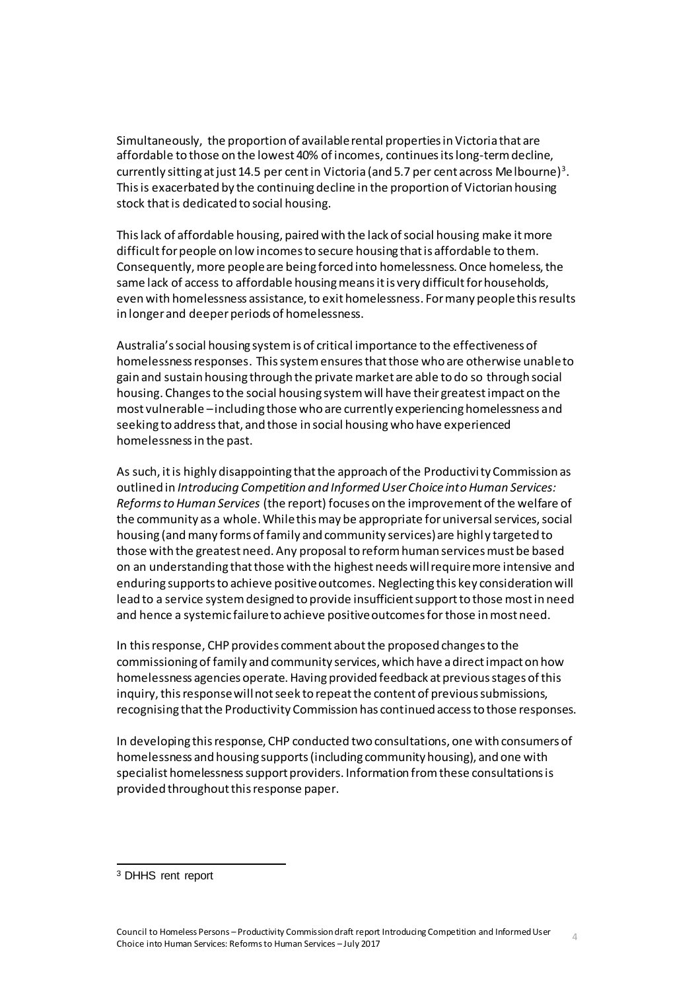Simultaneously, the proportion of available rental properties in Victoria that are affordable to those on the lowest 40% of incomes, continues its long-term decline, currently sitting at just 14.5 per cent in Victoria (and 5.7 per cent across Melbourne) $^3$ . This is exacerbated by the continuingdecline in the proportion of Victorian housing stock that is dedicated to social housing.

This lack of affordable housing, paired with the lack of social housing make it more difficult for people on low incomes to secure housing that is affordable to them. Consequently, more people are being forced into homelessness. Once homeless, the same lack of access to affordable housing means it is very difficult for households, even with homelessness assistance, to exit homelessness. For many people this results in longer and deeper periods of homelessness.

Australia's social housing system is of critical importance to the effectiveness of homelessness responses. This system ensuresthat those who are otherwise unable to gain and sustain housing through the private market are able to do so through social housing. Changes to the social housing system will have their greatest impact on the most vulnerable –including those who are currently experiencing homelessness and seeking to address that, and those in social housing who have experienced homelessness in the past.

As such, it is highly disappointing that the approach of the Productivity Commission as outlined in *Introducing Competition and Informed User Choice into Human Services: Reforms to Human Services* (the report) focuses on the improvement ofthe welfare of the community as a whole. While this may be appropriate for universal services, social housing (and many forms of family and community services) are highl y targeted to those with the greatest need. Any proposal to reform human services must be based on an understanding that those with the highest needs will require more intensive and enduring supports to achieve positive outcomes. Neglecting this key consideration will lead to a service system designed to provide insufficient support to those most in need and hence a systemic failure to achieve positive outcomes for those in most need.

In this response, CHP provides comment about the proposed changes to the commissioning of family and community services, which have a direct impact on how homelessness agencies operate. Having provided feedback at previous stages of this inquiry, this response will not seek to repeat the content of previous submissions, recognising that the Productivity Commission has continued access to those responses.

In developing this response, CHP conducted two consultations, one with consumers of homelessness and housing supports (including community housing), and one with specialist homelessness support providers. Information from these consultations is provided throughout this response paper.

<sup>3</sup> DHHS rent report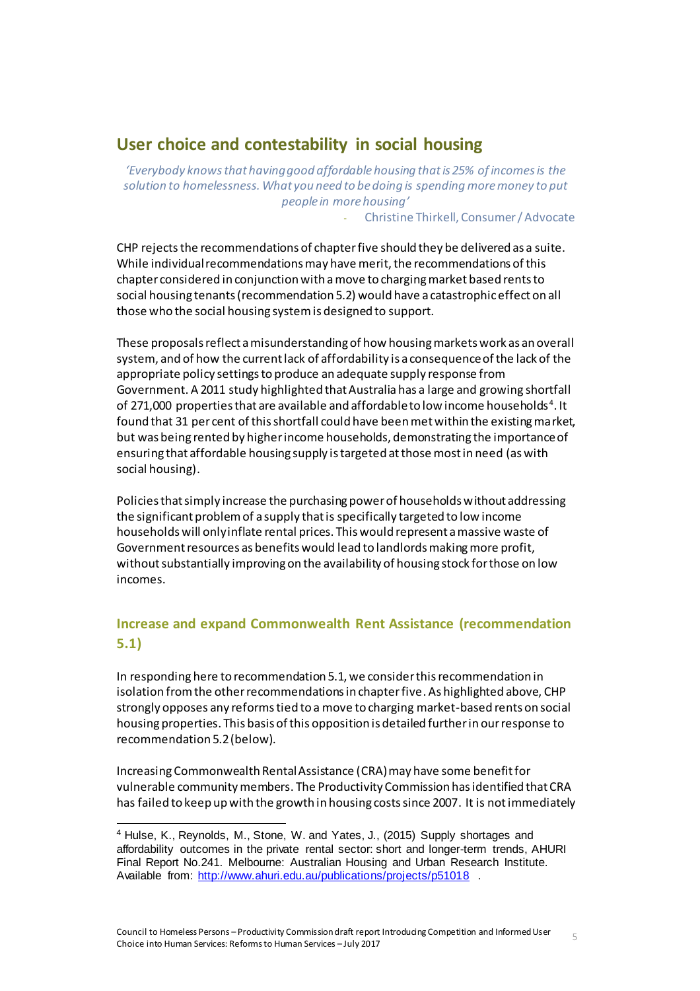# <span id="page-4-0"></span>**User choice and contestability in social housing**

*'Everybody knows that having good affordable housing that is 25% of incomes is the solution to homelessness. What you need to be doing is spending more money to put people in more housing'*

- Christine Thirkell, Consumer / Advocate

CHP rejects the recommendations of chapter five should they be delivered as a suite. While individual recommendations may have merit, the recommendations of this chapter considered in conjunction with a move to charging market based rents to social housing tenants (recommendation 5.2) would have a catastrophic effect on all those who the social housing system is designed to support.

These proposals reflect a misunderstanding of how housing markets work as an overall system, and of how the current lack of affordability is a consequence of the lack of the appropriate policy settings to produce an adequate supply response from Government. A 2011 study highlighted that Australia has a large and growing shortfall of 271,000 properties that are available and affordable to low income households $^4$ . It found that 31 per cent of this shortfall could have been met within the existing market, but was being rented by higher income households, demonstrating the importance of ensuring that affordable housing supply is targeted at those most in need (as with social housing).

Policies that simply increase the purchasing power of households without addressing the significant problem of a supply that is specifically targeted to low income households will only inflate rental prices. This would represent a massive waste of Government resources as benefits would lead to landlords making more profit, without substantially improving on the availability of housing stock for those on low incomes.

# <span id="page-4-1"></span>**Increase and expand Commonwealth Rent Assistance (recommendation 5.1)**

In responding here to recommendation 5.1, we consider this recommendation in isolation from the other recommendations in chapter five. As highlighted above, CHP strongly opposes any reforms tied to a move to charging market-based rents on social housing properties. This basis of this opposition is detailed further in our response to recommendation 5.2 (below).

Increasing Commonwealth Rental Assistance (CRA)may have some benefit for vulnerable community members. The Productivity Commission has identified that CRA has failed to keep up with the growth in housing costs since 2007. It is not immediately

<sup>4</sup> Hulse, K., Reynolds, M., Stone, W. and Yates, J., (2015) Supply shortages and affordability outcomes in the private rental sector: short and longer-term trends, AHURI Final Report No.241. Melbourne: Australian Housing and Urban Research Institute. Available from:<http://www.ahuri.edu.au/publications/projects/p51018> .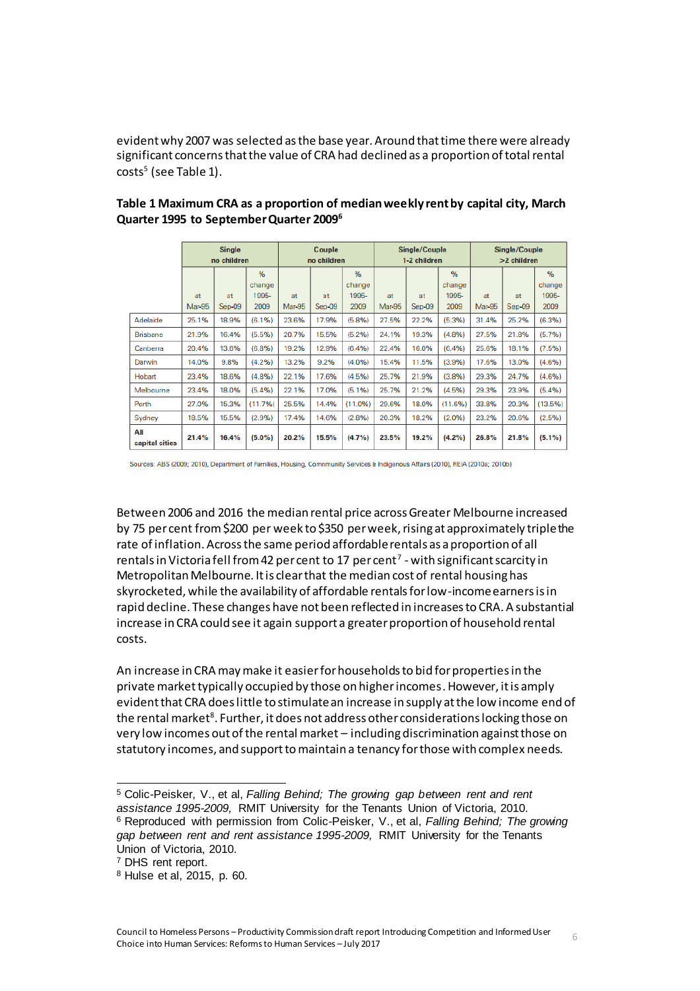evident why 2007 was selected as the base year. Around that time there were already significant concerns that the value of CRA had declined as a proportion of total rental costs<sup>5</sup> (see Table 1).

|                       | <b>Single</b><br>no children |          | Couple<br>no children |               | Single/Couple<br>1-2 children |        |               | Single/Couple<br>>2 children |               |               |          |               |
|-----------------------|------------------------------|----------|-----------------------|---------------|-------------------------------|--------|---------------|------------------------------|---------------|---------------|----------|---------------|
|                       |                              |          | %                     |               |                               | %      |               |                              | $\frac{9}{6}$ |               |          | $\frac{9}{6}$ |
|                       |                              |          | change                |               |                               | change |               |                              | change        |               |          | change        |
|                       | at                           | at       | 1995-                 | at            | at                            | 1995-  | at            | at                           | 1995-         | at            | at       | 1995-         |
|                       | Mar-95                       | $Sen-09$ | 2009                  | <b>Mar-95</b> | $Sep-09$                      | 2009   | <b>Mar-95</b> | $Sep-09$                     | 2009          | <b>Mar-95</b> | $Sep-09$ | 2009          |
| Adelaide              | 25.1%                        | 18.9%    | (6.1%)                | 23.6%         | 17.9%                         | (5.8%) | 27.5%         | 22.2%                        | (5.3%)        | 31.4%         | 25.2%    | (6.3%)        |
| <b>Brisbane</b>       | 21.9%                        | 16.4%    | (5.5%)                | 20.7%         | 15.5%                         | (5.2%) | 24.1%         | 19.3%                        | (4.8%)        | 27.5%         | 21.8%    | (5.7%)        |
| Canberra              | 20.4%                        | 13.6%    | (6.8%)                | 19.2%         | 12.9%                         | (6.4%) | 22.4%         | 16.0%                        | (6.4%)        | 25.6%         | 18.1%    | (7.5%)        |
| Darwin                | 14.0%                        | 9.8%     | (4.2%)                | 13.2%         | 9.2%                          | (4.0%  | 15.4%         | 11.5%                        | (3.9%)        | 17.6%         | 13.0%    | (4.6%)        |
| Hobart                | 23.4%                        | 18.6%    | (4.8%)                | 22.1%         | 17.6%                         | (4.5%) | 25.7%         | 21.9%                        | (3.8%)        | 29.3%         | 24.7%    | (4.6%)        |
| Melbourne             | 23.4%                        | 18.0%    | (5.4%)                | 22.1%         | 17.0%                         | (5.1%) | 25.7%         | 21.2%                        | (4.5%)        | 29.3%         | 23.9%    | (5.4%)        |
| Perth                 | 27.0%                        | 15.3%    | (11.7%)               | 25.5%         | 14.4%                         | (11.0% | 29.6%         | 18.0%                        | (11.6%)       | 33.8%         | 20.3%    | (13.5%)       |
| Sydney                | 18.5%                        | 15.5%    | (2.9%)                | 17.4%         | 14.6%                         | (2.8%) | 20.3%         | 18.2%                        | (2.0%)        | 23.2%         | 20.6%    | (2.5%)        |
| All<br>capital cities | 21.4%                        | 16.4%    | $(5.0\%)$             | 20.2%         | 15.5%                         | (4.7%  | 23.5%         | 19.2%                        | $(4.2\%)$     | 26.8%         | 21.8%    | $(5.1\%)$     |

#### **Table 1 Maximum CRA as a proportion of median weekly rent by capital city, March Quarter 1995 to September Quarter 2009<sup>6</sup>**

Sources: ABS (2009; 2010), Department of Families, Housing, Comnmunity Services & Indigenous Affairs (2010), REIA (2010a; 2010b)

Between 2006 and 2016 the median rental price across Greater Melbourne increased by 75 per cent from \$200 per week to \$350 per week, rising at approximately triple the rate of inflation. Across the same period affordable rentals as a proportion of all rentals in Victoria fell from 42 per cent to 17 per cent<sup>7</sup> - with significant scarcity in Metropolitan Melbourne. It is clear that the median cost of rental housing has skyrocketed, while the availability of affordable rentals for low-income earners is in rapid decline. These changes have not been reflected in increases to CRA. A substantial increase in CRA could see it again support a greater proportion of household rental costs.

An increase in CRA may make it easier for households to bid for properties in the private market typically occupied by those on higher incomes. However, it is amply evident that CRA does little to stimulate an increase in supply at the low income end of the rental market $^{\rm 8}$ . Further, it does not address other considerations locking those on very low incomes out of the rental market – including discrimination against those on statutory incomes, and support to maintain a tenancy for those with complex needs.

<sup>5</sup> Colic-Peisker, V., et al, *Falling Behind; The growing gap between rent and rent assistance 1995-2009,* RMIT University for the Tenants Union of Victoria, 2010. <sup>6</sup> Reproduced with permission from Colic-Peisker, V., et al, *Falling Behind; The growing gap between rent and rent assistance 1995-2009,* RMIT University for the Tenants Union of Victoria, 2010.

<sup>7</sup> DHS rent report.

<sup>8</sup> Hulse et al, 2015, p. 60.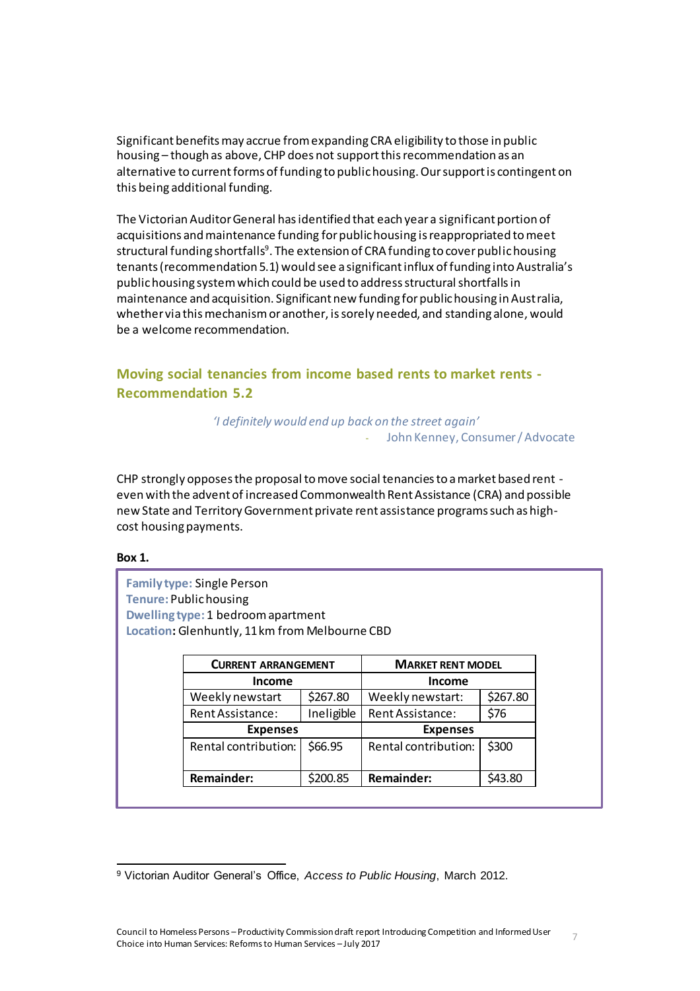Significant benefits may accrue from expanding CRA eligibility to those in public housing – though as above, CHP does not support this recommendation as an alternative to current forms of funding to public housing. Our support is contingent on this being additional funding.

The Victorian Auditor General has identified that each year a significant portion of acquisitions and maintenance funding for public housing is reappropriated to meet structural funding shortfalls<sup>9</sup>. The extension of CRA funding to cover public housing tenants (recommendation 5.1) would see a significant influx of funding into Australia's public housing system which could be used to address structural shortfalls in maintenance and acquisition. Significant new funding for public housing in Australia, whether via this mechanism or another, is sorely needed, and standing alone, would be a welcome recommendation.

<span id="page-6-0"></span>**Moving social tenancies from income based rents to market rents - Recommendation 5.2**

> *'I definitely would end up back on the street again'* - John Kenney, Consumer / Advocate

CHP strongly opposes the proposal to move social tenancies to a market based rent even with the advent of increased Commonwealth Rent Assistance (CRA) and possible new State and Territory Government private rent assistance programs such as highcost housing payments.

#### **Box 1.**

 $\overline{a}$ 

**Family type:** Single Person **Tenure:** Public housing **Dwelling type:** 1 bedroom apartment **Location:** Glenhuntly, 11 km from Melbourne CBD

| <b>CURRENT ARRANGEMENT</b> |                      | <b>MARKET RENT MODEL</b> |  |  |  |
|----------------------------|----------------------|--------------------------|--|--|--|
|                            | <b>Income</b>        |                          |  |  |  |
| \$267.80                   | Weekly newstart:     | \$267.80                 |  |  |  |
| Ineligible                 | Rent Assistance:     | \$76                     |  |  |  |
|                            | <b>Expenses</b>      |                          |  |  |  |
| \$66.95                    | Rental contribution: | \$300                    |  |  |  |
|                            |                      |                          |  |  |  |
| \$200.85                   | <b>Remainder:</b>    | \$43.80                  |  |  |  |
|                            |                      |                          |  |  |  |

<sup>9</sup> Victorian Auditor General's Office, *Access to Public Housing*, March 2012.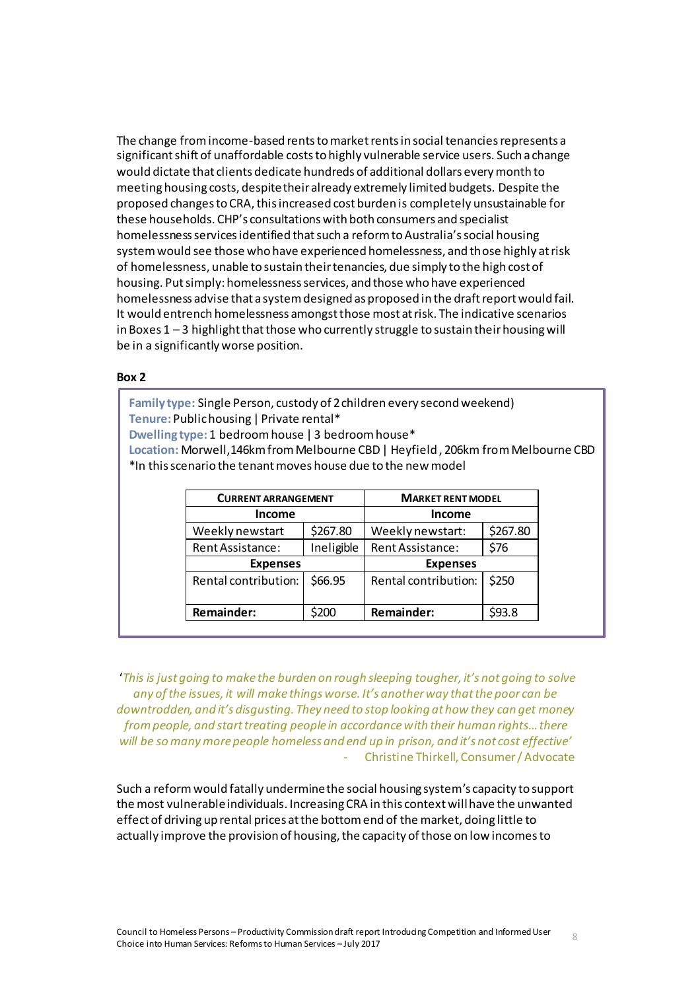The change from income-based rents to market rents in social tenancies represents a significant shift of unaffordable costs to highly vulnerable service users. Such a change would dictate that clients dedicate hundreds of additional dollars every month to meeting housing costs, despite their already extremely limited budgets. Despite the proposed changes to CRA, this increased cost burden is completely unsustainable for these households. CHP's consultations with both consumers and specialist homelessness services identified that such a reform to Australia's social housing system would see those who have experienced homelessness, and those highly at risk of homelessness, unable to sustain their tenancies, due simply to the high cost of housing. Put simply: homelessness services, and those who have experienced homelessness advise that a system designed as proposed in the draft report would fail. It would entrench homelessness amongst those most atrisk. The indicative scenarios in Boxes  $1 - 3$  highlight that those who currently struggle to sustain their housing will be in a significantly worse position.

#### **Box 2**

**Family type:** Single Person, custody of 2 children every second weekend) **Tenure:** Public housing | Private rental\* **Dwelling type:** 1 bedroom house | 3 bedroom house\* **Location:** Morwell,146km from Melbourne CBD | Heyfield , 206km from Melbourne CBD \*In this scenario the tenant moves house due to the new model

| <b>CURRENT ARRANGEMENT</b> |            | <b>MARKET RENT MODEL</b> |          |  |  |
|----------------------------|------------|--------------------------|----------|--|--|
| Income                     |            | <b>Income</b>            |          |  |  |
| Weekly newstart            | \$267.80   | Weekly newstart:         | \$267.80 |  |  |
| Rent Assistance:           | Ineligible | Rent Assistance:         | \$76     |  |  |
| <b>Expenses</b>            |            | <b>Expenses</b>          |          |  |  |
| Rental contribution:       | \$66.95    | Rental contribution:     | \$250    |  |  |
| Remainder:                 | \$200      | <b>Remainder:</b>        | \$93.8   |  |  |

'*This is just going to make the burden on rough sleeping tougher, it's not going to solve any of the issues, it will make things worse. It's another way that the poor can be downtrodden, and it's disgusting. They need to stop looking at how they can get money from people, and start treating people in accordance with their human rights… there will be so many more people homeless and end up in prison, and it's not cost effective'* - Christine Thirkell, Consumer / Advocate

Such a reform would fatally undermine the social housing system's capacity to support the most vulnerable individuals. Increasing CRA in this contextwill have the unwanted effect of driving up rental prices at the bottom end of the market, doing little to actually improve the provision of housing, the capacity of those on low incomes to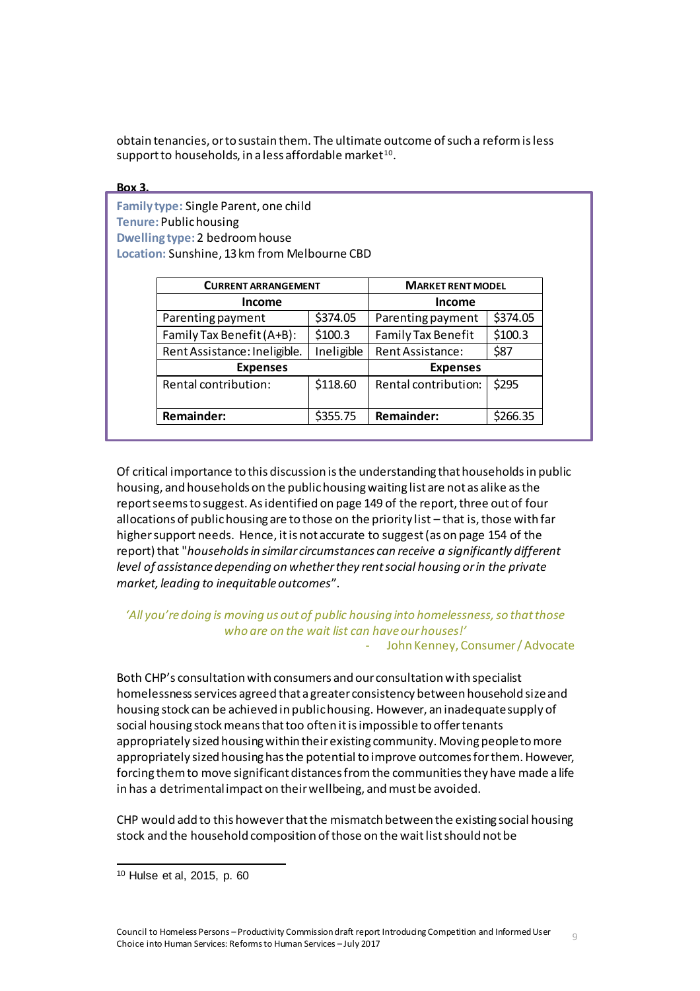obtain tenancies, or to sustain them. The ultimate outcome of such a reform is less support to households, in a less affordable market $^{\rm 10}.$ 

**Box 3. Family type:** Single Parent, one child **Tenure:** Public housing **Dwelling type:** 2 bedroom house **Location:** Sunshine, 13 km from Melbourne CBD

| <b>CURRENT ARRANGEMENT</b>   | <b>MARKET RENT MODEL</b> |                      |          |  |
|------------------------------|--------------------------|----------------------|----------|--|
| <b>Income</b>                | <b>Income</b>            |                      |          |  |
| Parenting payment            | \$374.05                 | Parenting payment    | \$374.05 |  |
| Family Tax Benefit (A+B):    | \$100.3                  | Family Tax Benefit   | \$100.3  |  |
| Rent Assistance: Ineligible. | Ineligible               | Rent Assistance:     | \$87     |  |
| <b>Expenses</b>              | <b>Expenses</b>          |                      |          |  |
| Rental contribution:         | \$118.60                 | Rental contribution: | \$295    |  |
| Remainder:                   | \$355.75                 | <b>Remainder:</b>    | \$266.35 |  |

Of critical importance to this discussion is the understanding that households in public housing, and households on the public housing waiting list are not as alike as the report seems to suggest. As identified on page 149 of the report, three out of four allocations of public housing are to those on the priority list – that is, those with far higher support needs. Hence, it is not accurate to suggest (as on page 154 of the report) that "*households in similar circumstances can receive a significantly different level of assistance depending on whether they rent social housing or in the private market, leading to inequitable outcomes*".

#### *'All you're doing is moving us out of public housing into homelessness, so that those who are on the wait list can have our houses!'* - John Kenney, Consumer / Advocate

Both CHP's consultation with consumers and our consultation with specialist homelessness services agreed that a greater consistency between household size and housing stock can be achieved in public housing. However, an inadequate supply of social housing stock means that too often it is impossible to offer tenants appropriately sized housing within their existing community. Moving people to more appropriately sized housing has the potential to improve outcomes for them. However, forcing them to move significant distances from the communities they have made a life in has a detrimental impact on their wellbeing, and must be avoided.

CHP would add to this however that the mismatch between the existing social housing stock and the household composition of those on the wait list should not be

<sup>10</sup> Hulse et al, 2015, p. 60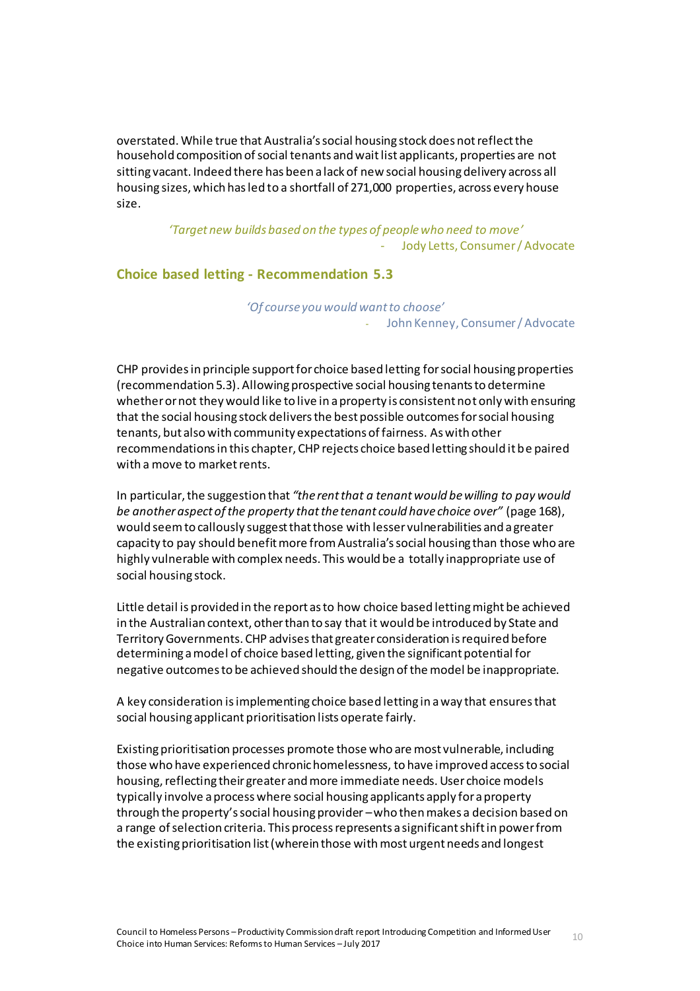overstated. While true that Australia's social housing stock does not reflect the household composition of social tenants and wait list applicants, properties are not sitting vacant. Indeed there has been a lack of new social housing delivery across all housing sizes, which has led to a shortfall of 271,000 properties, across every house size.

> *'Target new builds based on the types of people who need to move'* - Jody Letts, Consumer / Advocate

#### <span id="page-9-0"></span>**Choice based letting - Recommendation 5.3**

*'Of course you would want to choose'* - John Kenney, Consumer / Advocate

CHP provides in principle support for choice based letting for social housing properties (recommendation 5.3). Allowing prospective social housing tenants to determine whether or not they would like to live in a property is consistent not only with ensuring that the social housing stock delivers the best possible outcomes for social housing tenants, but also with community expectations of fairness. As with other recommendations in this chapter, CHP rejects choice based letting should it be paired with a move to market rents.

In particular, the suggestion that *"the rent that a tenant would be willing to pay would be another aspect of the property that the tenant could have choice over"* (page 168), would seem to callously suggest that those with lesser vulnerabilities and a greater capacity to pay should benefit more from Australia's social housing than those who are highly vulnerable with complex needs. This would be a totally inappropriate use of social housing stock.

Little detail is provided in the report as to how choice based letting might be achieved in the Australian context, other than to say that it would be introduced by State and Territory Governments. CHP advises that greater consideration is required before determining a model of choice based letting, given the significant potential for negative outcomes to be achieved should the design of the model be inappropriate.

A key consideration is implementing choice based letting in a way that ensuresthat social housing applicant prioritisation lists operate fairly.

Existing prioritisation processes promote those who are most vulnerable, including those who have experienced chronic homelessness, to have improved access to social housing, reflecting their greater and more immediate needs. User choice models typically involve a process where social housing applicants apply for a property through the property's social housing provider –who then makes a decision based on a range of selection criteria. This process represents a significant shift in power from the existing prioritisation list (wherein those with most urgent needs and longest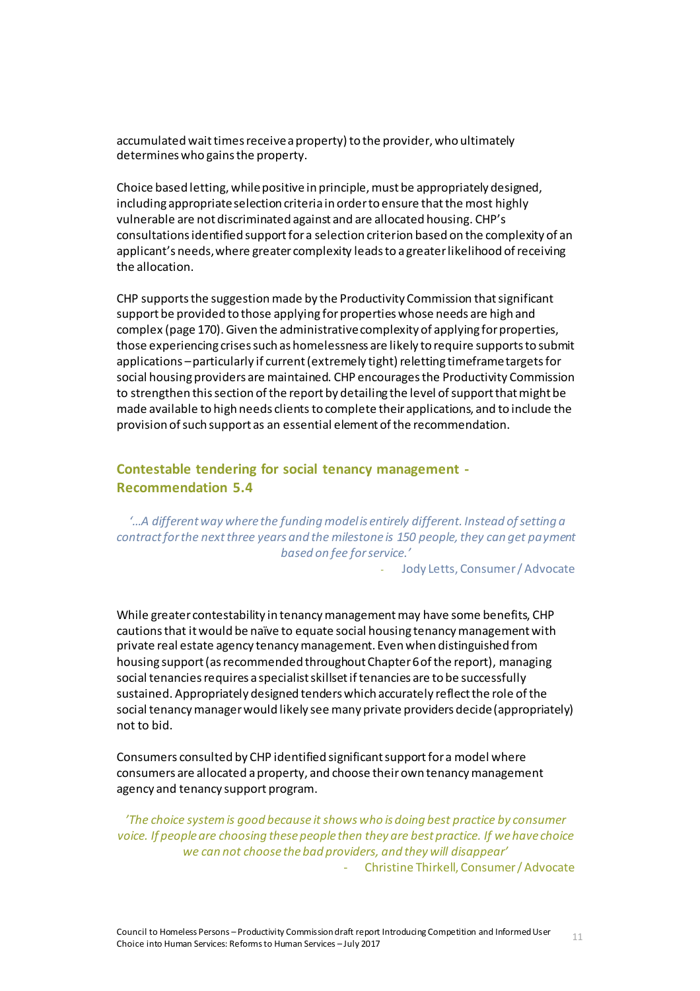accumulated wait times receive a property) to the provider, who ultimately determines who gains the property.

Choice based letting, while positive in principle, must be appropriately designed, including appropriate selection criteria in order to ensure that the most highly vulnerable are not discriminated against and are allocated housing. CHP's consultations identified support for a selection criterion based on the complexity of an applicant's needs, where greater complexity leads to a greater likelihood of receiving the allocation.

CHP supports the suggestion made by the Productivity Commission that significant support be provided to those applying for properties whose needs are high and complex (page 170). Given the administrative complexity of applying for properties, those experiencing crises such as homelessness are likely to require supports to submit applications –particularly if current (extremely tight) reletting timeframe targets for social housing providers are maintained. CHP encourages the Productivity Commission to strengthen this section of the report by detailing the level of support that might be made available to high needs clients to complete their applications, and to include the provision of such support as an essential element of the recommendation.

### <span id="page-10-0"></span>**Contestable tendering for social tenancy management - Recommendation 5.4**

*'…A different way where the funding model is entirely different. Instead of setting a contract for the next three years and the milestone is 150 people, they can get payment based on fee for service.'*

- Jody Letts, Consumer / Advocate

While greater contestability in tenancy management may have some benefits, CHP cautions that it would be naïve to equate social housing tenancy management with private real estate agency tenancy management. Even when distinguished from housing support (as recommended throughout Chapter 6 of the report), managing social tenancies requires a specialist skillset if tenancies are to be successfully sustained. Appropriately designed tenders which accurately reflect the role of the social tenancy manager would likely see many private providers decide (appropriately) not to bid.

Consumers consulted by CHP identified significant support for a model where consumers are allocated a property, and choose their own tenancy management agency and tenancy support program.

*'The choice system is good because it shows who is doing best practice by consumer voice. If people are choosing these people then they are best practice. If we have choice we can not choose the bad providers, and they will disappear'* - Christine Thirkell, Consumer / Advocate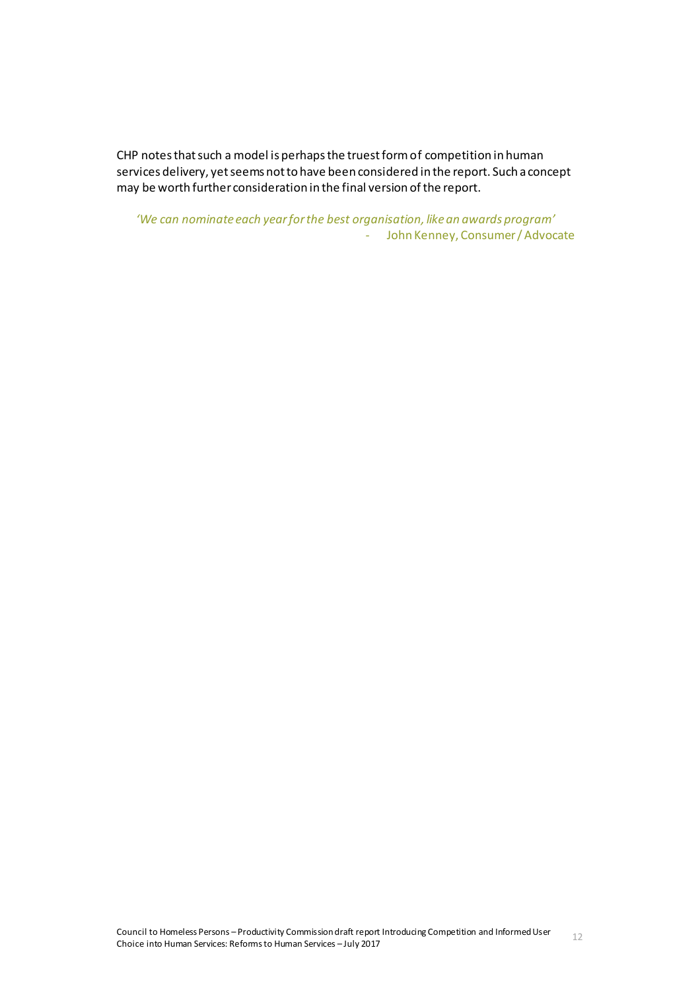CHP notes that such a model is perhaps the truest form of competition in human services delivery, yet seems not to have been considered in the report. Such a concept may be worth further consideration in the final version of the report.

*'We can nominate each year for the best organisation, like an awards program'* - John Kenney, Consumer / Advocate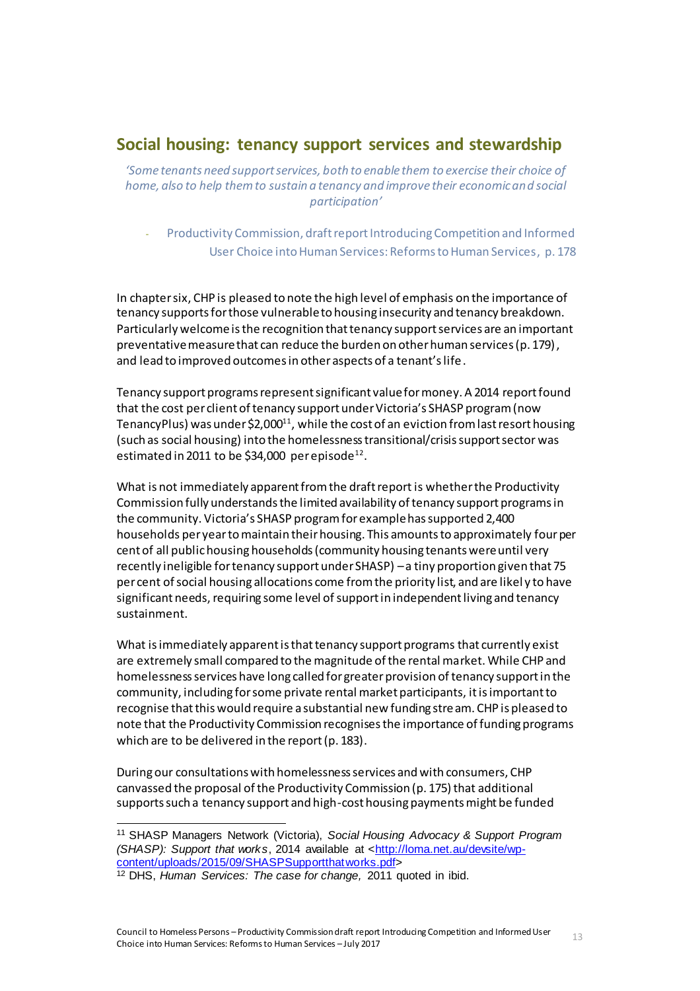# <span id="page-12-0"></span>**Social housing: tenancy support services and stewardship**

*'Some tenants need support services, both to enable them to exercise their choice of home, also to help them to sustain a tenancy and improve their economic and social participation'*

- Productivity Commission, draft report Introducing Competition and Informed User Choice into Human Services: Reforms to Human Services, p. 178

In chapter six, CHP is pleased to note the high level of emphasis on the importance of tenancy supports for those vulnerable to housing insecurity and tenancy breakdown. Particularly welcome is the recognition that tenancy support services are an important preventative measure that can reduce the burden on other human services (p. 179), and lead to improved outcomes in other aspects of a tenant's life.

Tenancy support programs represent significant value for money. A 2014 report found that the cost per client of tenancy support under Victoria's SHASP program (now TenancyPlus) was under \$2,000 $^{11}$ , while the cost of an eviction from last resort housing (such as social housing) into the homelessness transitional/crisis support sector was estimated in 2011 to be \$34,000  $\mu$ er episode $^{12}$ .

What is not immediately apparent from the draft report is whetherthe Productivity Commission fully understands the limited availability of tenancy support programs in the community. Victoria's SHASP program for example has supported 2,400 households per yearto maintain their housing. This amounts to approximately fourper cent of all public housing households (community housing tenants were until very recently ineligible for tenancy support under SHASP) –a tiny proportion given that 75 per cent of social housing allocations come from the priority list, and are likel y to have significant needs, requiring some level of support in independent living and tenancy sustainment.

What is immediately apparent is that tenancy support programs that currently exist are extremely small compared to the magnitude of the rental market. While CHP and homelessness services have long called for greater provision of tenancy support in the community, including for some private rental market participants, it is important to recognise that this would require a substantial new funding stream. CHP is pleased to note that the Productivity Commission recognises the importance of funding programs which are to be delivered in the report (p. 183).

During our consultations with homelessness services and with consumers, CHP canvassed the proposal of the Productivity Commission (p. 175) that additional supports such a tenancy support and high-cost housing payments might be funded

<sup>11</sup> SHASP Managers Network (Victoria), *Social Housing Advocacy & Support Program (SHASP): Support that works*, 2014 available at [<http://loma.net.au/devsite/wp](http://loma.net.au/devsite/wp-content/uploads/2015/09/SHASPSupportthatworks.pdf)[content/uploads/2015/09/SHASPSupportthatworks.pdf>](http://loma.net.au/devsite/wp-content/uploads/2015/09/SHASPSupportthatworks.pdf)

<sup>12</sup> DHS, *Human Services: The case for change,* 2011 quoted in ibid.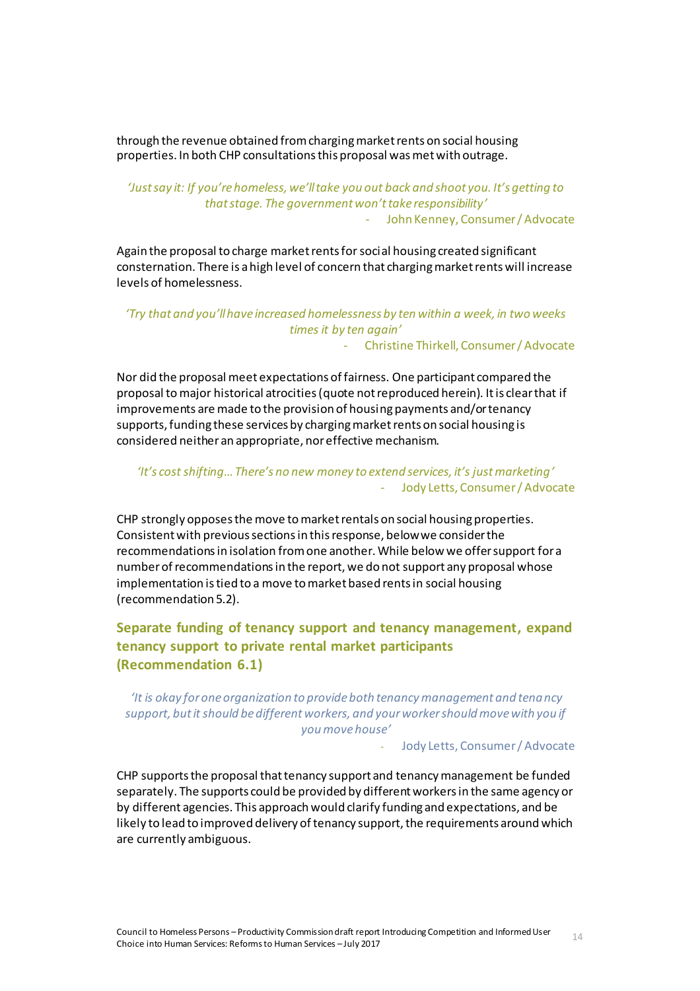through the revenue obtained from charging market rents on social housing properties. In both CHP consultations this proposal was met with outrage.

*'Just say it: If you're homeless, we'll take you out back and shoot you. It's getting to that stage. The government won't take responsibility'* - John Kenney, Consumer / Advocate

Again the proposal to charge market rents for social housing created significant consternation. There is a high level of concern that charging market rents will increase levels of homelessness.

## *'Try that and you'll have increased homelessness by ten within a week, in two weeks times it by ten again'*

- Christine Thirkell, Consumer / Advocate

Nor did the proposal meet expectations of fairness. One participant compared the proposal tomajor historical atrocities (quote not reproduced herein). It is clear that if improvements are made to the provision of housing payments and/or tenancy supports, funding these services by charging market rents on social housing is considered neither an appropriate, nor effective mechanism.

#### *'It's cost shifting…There's no new money to extend services, it's just marketing'* - Jody Letts, Consumer / Advocate

CHP strongly opposes the move to market rentals on social housing properties. Consistent with previous sections in this response, below we consider the recommendations in isolation from one another. While below we offer support for a number of recommendations in the report, we do not support any proposal whose implementation is tied to a move to market based rents in social housing (recommendation 5.2).

# <span id="page-13-0"></span>**Separate funding of tenancy support and tenancy management, expand tenancy support to private rental market participants (Recommendation 6.1)**

### *'It is okay for one organization to provide both tenancy management and tenancy support, but it should be different workers, and your worker should move with you if you move house'*

- Jody Letts, Consumer / Advocate

CHP supports the proposal that tenancy support and tenancy management be funded separately. The supports could be provided by different workers in the same agency or by different agencies. This approach would clarify funding and expectations, and be likely to lead to improved delivery of tenancy support, the requirements around which are currently ambiguous.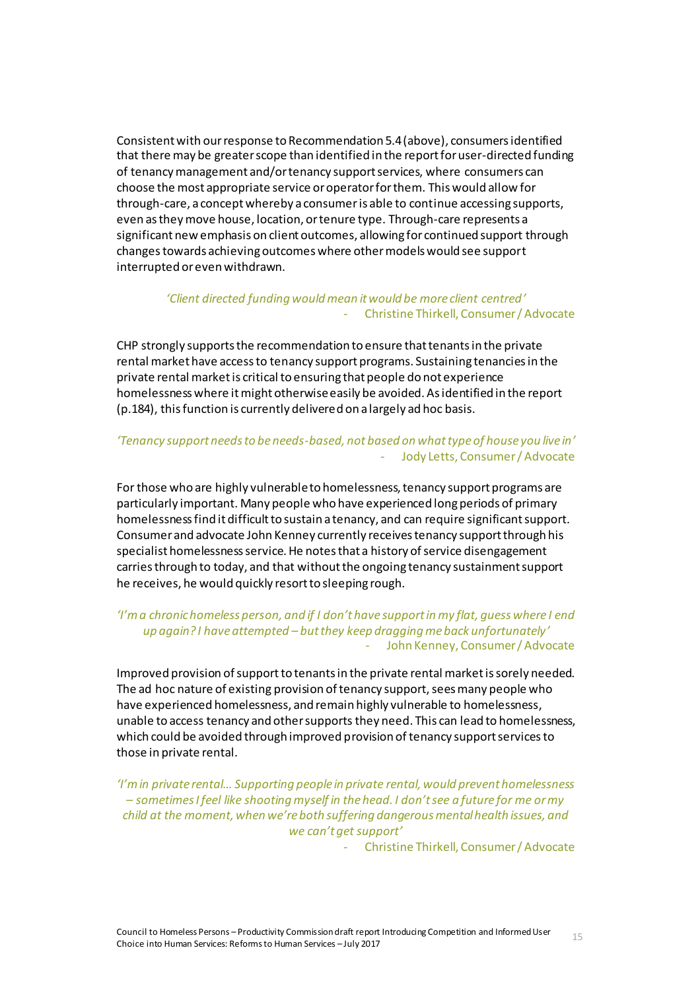Consistent with our response to Recommendation 5.4 (above), consumers identified that there may be greater scope than identified in the report for user-directed funding of tenancy management and/or tenancy support services, where consumers can choose the most appropriate service or operator for them. This would allow for through-care, a concept whereby a consumer is able to continue accessing supports, even as they move house, location, or tenure type. Through-care represents a significant new emphasis on client outcomes, allowing for continued support through changes towards achieving outcomes where other models would see support interrupted or even withdrawn.

#### *'Client directed funding would mean it would be more client centred'*  - Christine Thirkell, Consumer / Advocate

CHP strongly supports the recommendation to ensure that tenants in the private rental market have access to tenancy support programs. Sustaining tenancies in the private rental market is critical to ensuring that people do not experience homelessness where it might otherwise easily be avoided. As identified in the report (p.184), this function is currently delivered on a largely ad hoc basis.

#### *'Tenancy support needs to be needs-based, not based on what type of house you live in'*  Jody Letts, Consumer / Advocate

For those who are highly vulnerable to homelessness, tenancy support programs are particularly important. Many people who have experienced long periods of primary homelessness find it difficult to sustain a tenancy, and can require significant support. Consumer and advocate John Kenney currently receives tenancy support through his specialist homelessness service. He notes that a history of service disengagement carries through to today, and that without the ongoing tenancy sustainment support he receives, he would quickly resort to sleeping rough.

#### *'I'm a chronic homeless person, and if I don't have support in my flat, guess where I end up again? I have attempted – but they keep dragging me back unfortunately'*  - John Kenney, Consumer / Advocate

Improved provision of support to tenants in the private rental market is sorely needed. The ad hoc nature of existing provision of tenancy support, sees many people who have experienced homelessness, and remain highly vulnerable to homelessness, unable to access tenancy and other supportsthey need. This can lead to homelessness, which could be avoided through improved provision of tenancy support services to those in private rental.

*'I'm in private rental… Supporting people in private rental, would prevent homelessness – sometimes I feel like shooting myself in the head. I don't see a future for me or my child at the moment, when we're both suffering dangerous mental health issues, and we can't get support'*

- Christine Thirkell, Consumer / Advocate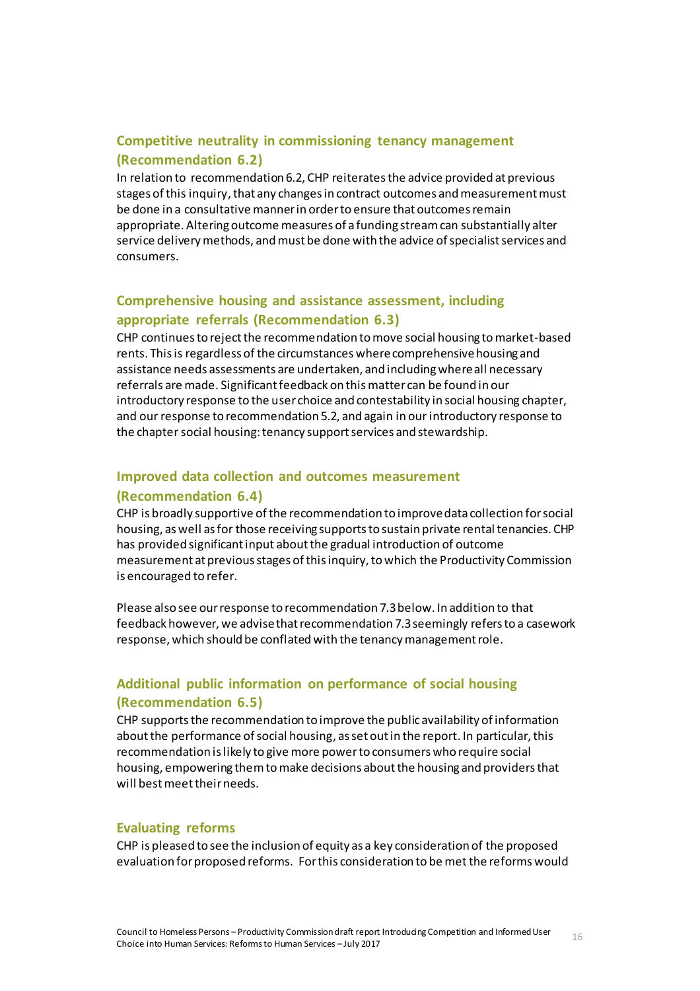### <span id="page-15-0"></span>**Competitive neutrality in commissioning tenancy management (Recommendation 6.2)**

In relation to recommendation 6.2, CHP reiterates the advice provided at previous stages of this inquiry, that any changes in contract outcomes and measurement must be done in a consultative manner in order to ensure that outcomes remain appropriate. Altering outcome measures of a funding stream can substantially alter service delivery methods, and must be done with the advice of specialist services and consumers.

# <span id="page-15-1"></span>**Comprehensive housing and assistance assessment, including appropriate referrals (Recommendation 6.3)**

CHP continues to reject the recommendation to move social housing to market-based rents. This is regardless of the circumstances where comprehensive housing and assistance needs assessments are undertaken, and including where all necessary referrals are made. Significant feedback on this matter can be found in our introductory response to the user choice and contestability in social housing chapter, and our response to recommendation 5.2, and again in our introductory response to the chapter social housing: tenancy support services and stewardship.

# <span id="page-15-2"></span>**Improved data collection and outcomes measurement (Recommendation 6.4)**

CHP is broadly supportive of the recommendation to improve data collection for social housing, as well as for those receiving supports to sustain private rental tenancies. CHP has provided significant input about the gradual introduction of outcome measurement at previous stages of this inquiry, to which the Productivity Commission is encouraged to refer.

Please also see our response to recommendation 7.3 below. In addition to that feedback however, we advise that recommendation 7.3 seemingly refers to a casework response, which should be conflated with the tenancy management role.

# <span id="page-15-3"></span>**Additional public information on performance of social housing (Recommendation 6.5)**

CHP supportsthe recommendation to improve the public availability of information about the performance of social housing, as set out in the report. In particular, this recommendation is likely to give more power to consumers who require social housing, empowering them to make decisions about the housing and providers that will best meet their needs.

#### <span id="page-15-4"></span>**Evaluating reforms**

CHP is pleased to see the inclusion of equity as a key consideration of the proposed evaluation for proposed reforms. For this consideration to be metthe reforms would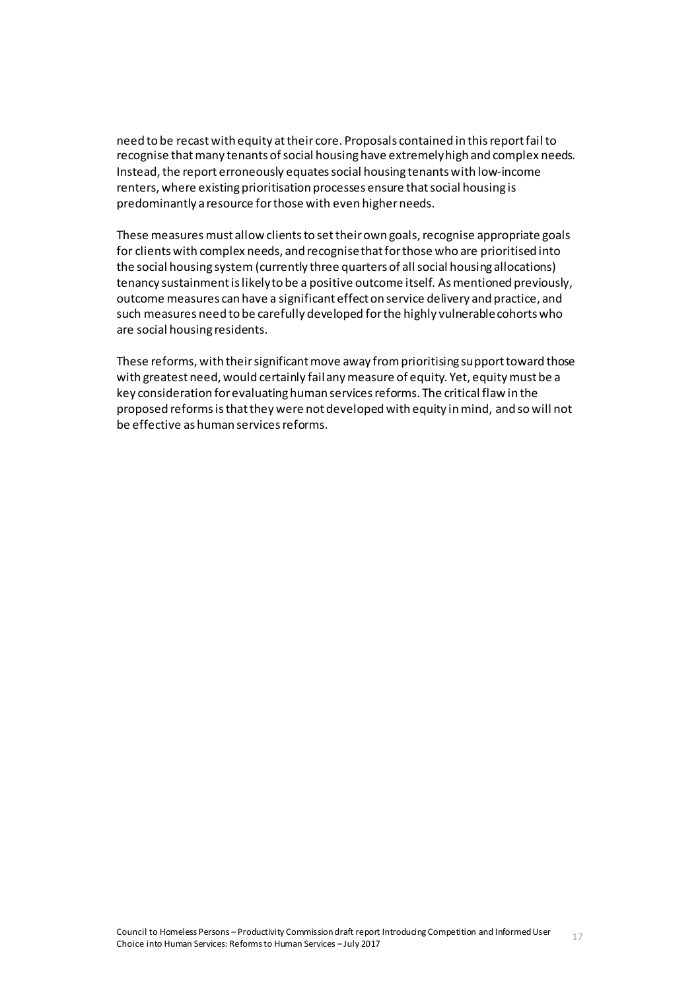need to be recast with equity at their core. Proposals contained in this report fail to recognise that many tenants of social housing have extremely high and complex needs. Instead, the report erroneously equates social housing tenants with low-income renters, where existing prioritisation processes ensure that social housing is predominantly a resource for those with even higher needs.

These measures must allow clients to set their own goals, recognise appropriate goals for clients with complex needs, and recognise that for those who are prioritised into the social housing system (currently three quarters of all social housing allocations) tenancy sustainment is likely to be a positive outcome itself. As mentioned previously, outcome measures can have a significant effect on service delivery and practice, and such measures need to be carefully developed for the highly vulnerable cohorts who are social housing residents.

These reforms, with their significant move away from prioritising support toward those with greatest need, would certainly fail any measure of equity. Yet, equity must be a key consideration for evaluating human services reforms. The critical flaw in the proposed reforms is that they were not developed with equity in mind, and so will not be effective as human services reforms.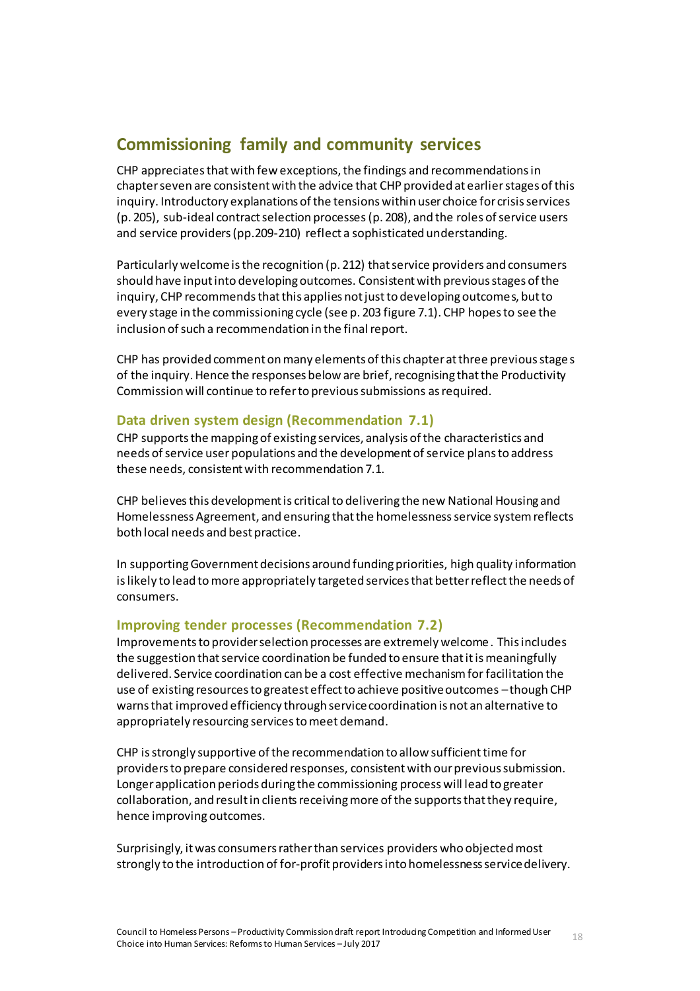# <span id="page-17-0"></span>**Commissioning family and community services**

CHP appreciates that with few exceptions, the findings and recommendations in chapter seven are consistent with the advice that CHP provided at earlier stages of this inquiry. Introductory explanations of the tensions within user choice for crisis services (p. 205), sub-ideal contract selection processes(p. 208), and the roles of service users and service providers (pp.209-210) reflect a sophisticated understanding.

Particularly welcome is the recognition (p. 212) that service providers and consumers should have input into developing outcomes. Consistent with previous stages of the inquiry, CHP recommends that this applies not just to developing outcomes, but to every stage in the commissioning cycle (see p. 203 figure 7.1). CHP hopes to see the inclusion of such a recommendation in the final report.

CHP has provided comment on many elements of this chapter at three previous stages of the inquiry. Hence the responses below are brief, recognising that the Productivity Commission will continue to refer to previous submissions as required.

### <span id="page-17-1"></span>**Data driven system design (Recommendation 7.1)**

CHP supports the mapping of existing services, analysis of the characteristics and needs of service user populations and the development of service plans to address these needs, consistent with recommendation 7.1.

CHP believes this development is critical to delivering the new National Housing and Homelessness Agreement, and ensuring that the homelessness service system reflects both local needs and best practice.

In supporting Government decisions around funding priorities, high quality information is likely to lead to more appropriately targeted services that better reflect the needs of consumers.

#### <span id="page-17-2"></span>**Improving tender processes (Recommendation 7.2)**

Improvements to provider selection processes are extremely welcome. This includes the suggestion that service coordination be funded to ensure that it is meaningfully delivered. Service coordination can be a cost effective mechanism for facilitation the use of existing resources to greatest effect to achieve positive outcomes –though CHP warns that improved efficiency through service coordination is not an alternative to appropriately resourcing services to meet demand.

CHP is strongly supportive of the recommendation to allow sufficient time for providers to prepare considered responses, consistent with our previous submission. Longer application periods during the commissioning process will lead to greater collaboration, and result in clients receiving more of the supports that they require, hence improving outcomes.

Surprisingly, it was consumers rather than services providers who objected most strongly to the introduction of for-profit providers into homelessness service delivery.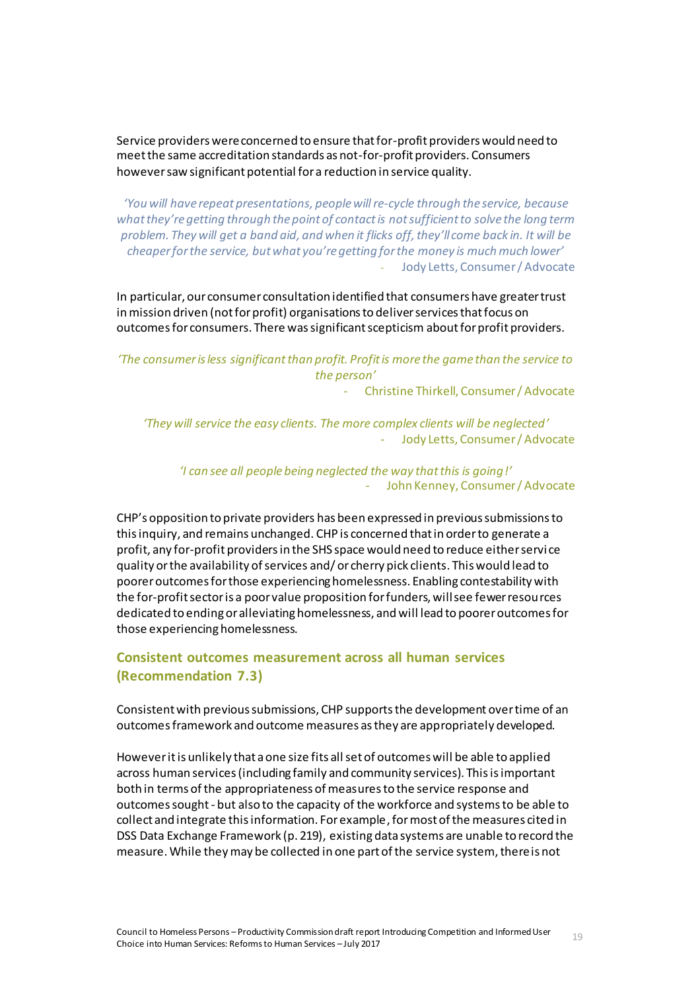Service providers were concerned to ensure that for-profit providers would need to meet the same accreditation standards as not-for-profit providers. Consumers however saw significant potential for a reduction in service quality.

*'You will have repeat presentations, people will re-cycle through the service, because what they're getting through the point of contact is not sufficient to solve the long term problem. They will get a band aid, and when it flicks off, they'll come back in. It will be cheaper for the service, but what you're getting for the money is much much lower'* - Jody Letts, Consumer / Advocate

In particular, our consumer consultation identified that consumers have greater trust in mission driven (not for profit) organisations to deliver services that focus on outcomes for consumers. There was significant scepticism about for profit providers.

*'The consumer is less significant than profit. Profit is more the game than the service to the person'*

- Christine Thirkell, Consumer / Advocate

*'They will service the easy clients. The more complex clients will be neglected'* - Jody Letts, Consumer / Advocate

*'I can see all people being neglected the way that this is going!'* - John Kenney, Consumer / Advocate

CHP's opposition to private providers has been expressed in previous submissions to this inquiry, and remains unchanged. CHP is concerned that in order to generate a profit, any for-profit providers in the SHS space would need to reduce either servi ce quality or the availability of services and/ or cherry pick clients. This would lead to poorer outcomes for those experiencing homelessness. Enabling contestability with the for-profit sector is a poor value proposition for funders, will see fewer resources dedicated to ending or alleviating homelessness, and will lead to poorer outcomes for those experiencing homelessness.

### <span id="page-18-0"></span>**Consistent outcomes measurement across all human services (Recommendation 7.3)**

Consistent with previous submissions, CHP supportsthe development over time of an outcomesframework and outcome measures as they are appropriately developed.

However it is unlikely that a one size fits all set of outcomes will be able to applied across human services (including family and community services). This is important both in terms of the appropriateness of measures to the service response and outcomes sought - but also to the capacity of the workforce and systems to be able to collect and integrate this information. For example, formost of the measures cited in DSS Data Exchange Framework (p. 219), existing data systems are unable to record the measure. While they may be collected in one part of the service system, there is not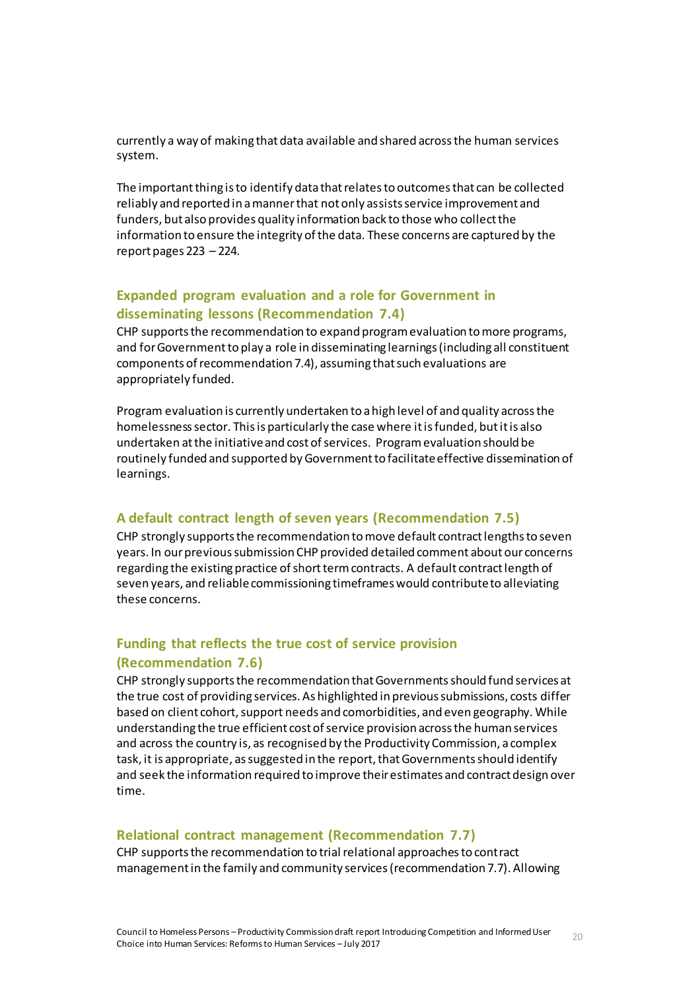currently a way of making that data available and shared across the human services system.

The important thing is to identify data that relates to outcomes that can be collected reliably and reported in a manner that not only assists service improvement and funders, but also provides quality information back to those who collect the information to ensure the integrity of the data. These concerns are captured by the report pages 223 – 224.

### <span id="page-19-0"></span>**Expanded program evaluation and a role for Government in disseminating lessons (Recommendation 7.4)**

CHP supports the recommendation to expand program evaluation to more programs, and for Government to play a role in disseminating learnings (including all constituent components of recommendation 7.4), assuming that such evaluations are appropriately funded.

Program evaluation is currently undertaken to a high level of and quality across the homelessness sector. This is particularly the case where it is funded, but it is also undertaken at the initiative and cost of services. Program evaluation should be routinely funded and supported by Government to facilitate effective dissemination of learnings.

#### <span id="page-19-1"></span>**A default contract length of seven years (Recommendation 7.5)**

CHP strongly supports the recommendation to move default contract lengths to seven years. In our previous submission CHP provided detailed comment about our concerns regarding the existing practice of short term contracts. A default contract length of seven years, and reliablecommissioning timeframes would contribute to alleviating these concerns.

# <span id="page-19-2"></span>**Funding that reflects the true cost of service provision (Recommendation 7.6)**

CHP strongly supports the recommendation that Governments should fund services at the true cost of providing services. As highlighted in previous submissions, costs differ based on client cohort, support needs and comorbidities, and even geography. While understanding the true efficient cost of service provision across the human services and across the country is, as recognised by the Productivity Commission, a complex task, it is appropriate, as suggested in the report, that Governments should identify and seek the information required to improve their estimates and contract design over time.

#### <span id="page-19-3"></span>**Relational contract management (Recommendation 7.7)**

CHP supports the recommendation to trial relational approaches to contract management in the family and community services (recommendation 7.7). Allowing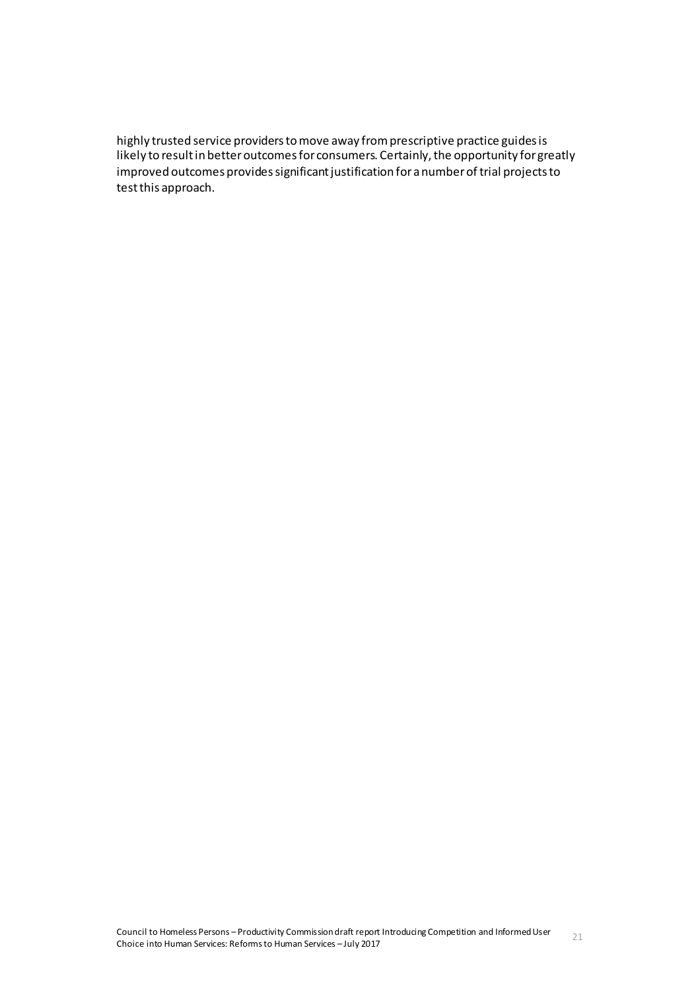highly trusted service providers to move away from prescriptive practice guides is likely to result in better outcomes for consumers. Certainly, the opportunity for greatly improved outcomes provides significant justification for a number of trial projects to test this approach.